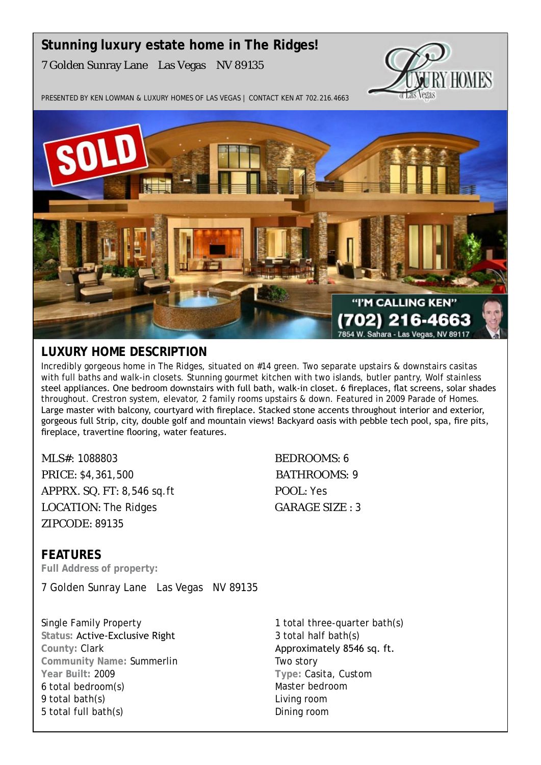# **Stunning luxury estate home in The Ridges!** 7 Golden Sunray Lane Las Vegas NV 89135



Presented by Ken Lowman & Luxury Homes of Las Vegas | Contact Ken at 702.216.4663



# **Luxury Home description**

Incredibly gorgeous home in The Ridges, situated on #14 green. Two separate upstairs & downstairs casitas with full baths and walk-in closets. Stunning gourmet kitchen with two islands, butler pantry, Wolf stainless steel appliances. One bedroom downstairs with full bath, walk-in closet. 6 fireplaces, flat screens, solar shades throughout. Crestron system, elevator, 2 family rooms upstairs & down. Featured in 2009 Parade of Homes. Large master with balcony, courtyard with fireplace. Stacked stone accents throughout interior and exterior, gorgeous full Strip, city, double golf and mountain views! Backyard oasis with pebble tech pool, spa, fire pits, fireplace, travertine flooring, water features.

MLS#: 1088803 BEDROOMS: 6 PRICE: \$4,361,500 BATHROOMS: 9 APPRX. SQ. FT: 8,546 sq.ft POOL: Yes LOCATION: The Ridges GARAGE SIZE : 3 ZIPCODE: 89135

**features Full Address of property:**

7 Golden Sunray Lane Las Vegas NV 89135

Single Family Property **Status:** Active-Exclusive Right **County:** Clark **Community Name:** Summerlin **Year Built:** 2009 6 total bedroom(s) 9 total bath(s) 5 total full bath(s)

1 total three-quarter bath(s) 3 total half bath(s) Approximately 8546 sq. ft. Two story **Type:** Casita, Custom Master bedroom Living room Dining room